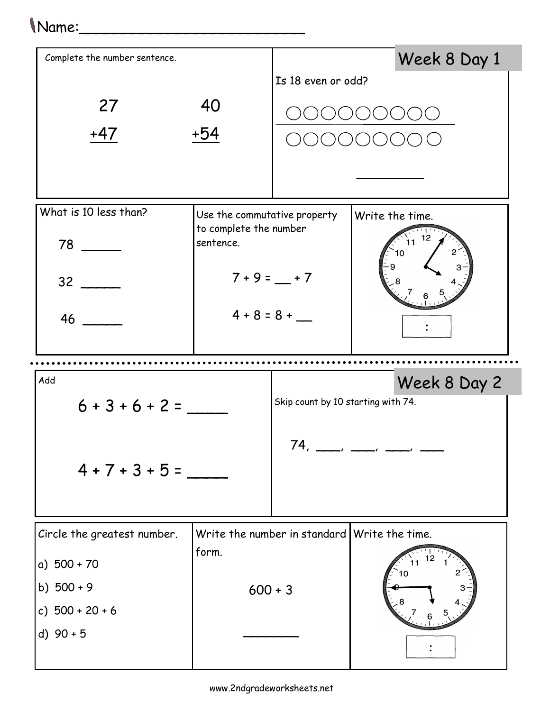## 1 Name:

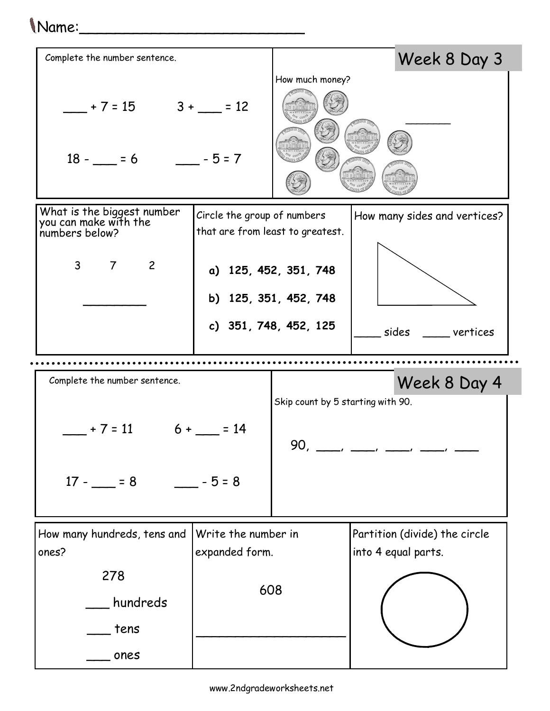## Name:\_\_\_\_\_\_\_\_\_\_\_\_\_\_\_\_\_\_\_\_\_\_\_\_\_